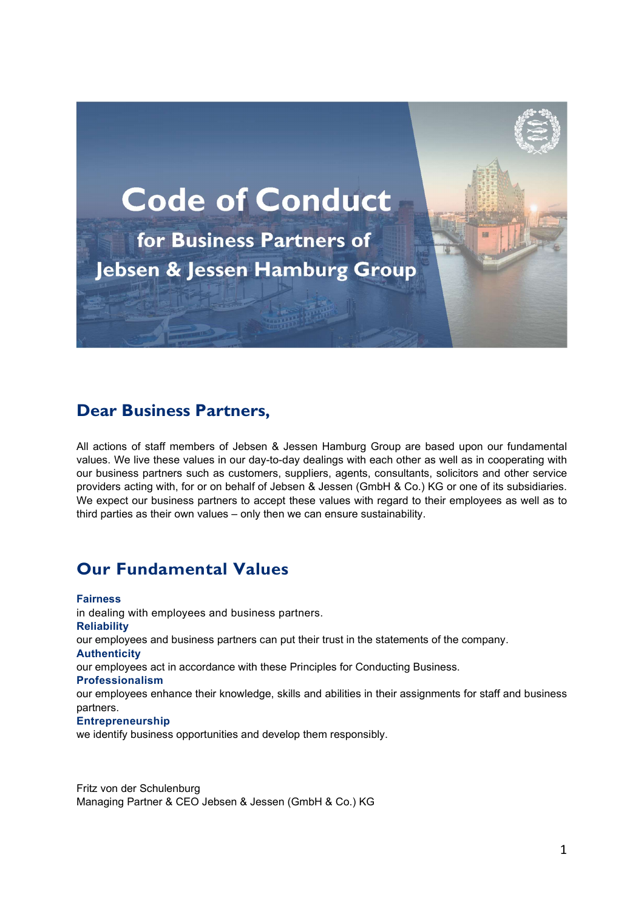

# Dear Business Partners,

All actions of staff members of Jebsen & Jessen Hamburg Group are based upon our fundamental values. We live these values in our day-to-day dealings with each other as well as in cooperating with our business partners such as customers, suppliers, agents, consultants, solicitors and other service providers acting with, for or on behalf of Jebsen & Jessen (GmbH & Co.) KG or one of its subsidiaries. We expect our business partners to accept these values with regard to their employees as well as to third parties as their own values – only then we can ensure sustainability.

# Our Fundamental Values

Fairness in dealing with employees and business partners. Reliability our employees and business partners can put their trust in the statements of the company. **Authenticity** our employees act in accordance with these Principles for Conducting Business. Professionalism our employees enhance their knowledge, skills and abilities in their assignments for staff and business partners. **Entrepreneurship** we identify business opportunities and develop them responsibly.

Fritz von der Schulenburg Managing Partner & CEO Jebsen & Jessen (GmbH & Co.) KG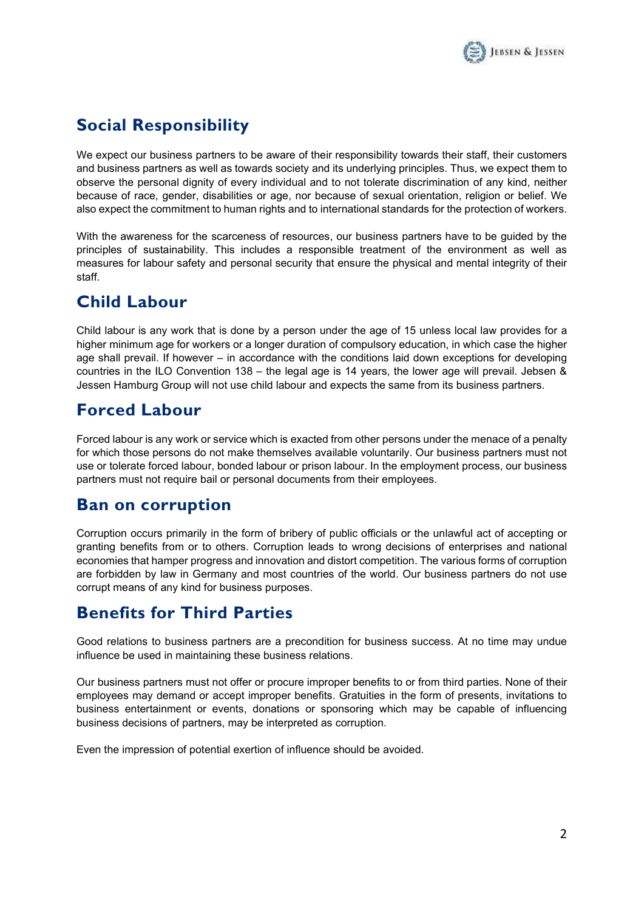

# Social Responsibility

We expect our business partners to be aware of their responsibility towards their staff, their customers and business partners as well as towards society and its underlying principles. Thus, we expect them to observe the personal dignity of every individual and to not tolerate discrimination of any kind, neither because of race, gender, disabilities or age, nor because of sexual orientation, religion or belief. We also expect the commitment to human rights and to international standards for the protection of workers.

With the awareness for the scarceness of resources, our business partners have to be guided by the principles of sustainability. This includes a responsible treatment of the environment as well as measures for labour safety and personal security that ensure the physical and mental integrity of their staff.

#### Child Labour

Child labour is any work that is done by a person under the age of 15 unless local law provides for a higher minimum age for workers or a longer duration of compulsory education, in which case the higher age shall prevail. If however – in accordance with the conditions laid down exceptions for developing countries in the ILO Convention 138 – the legal age is 14 years, the lower age will prevail. Jebsen & Jessen Hamburg Group will not use child labour and expects the same from its business partners.

# Forced Labour

Forced labour is any work or service which is exacted from other persons under the menace of a penalty for which those persons do not make themselves available voluntarily. Our business partners must not use or tolerate forced labour, bonded labour or prison labour. In the employment process, our business partners must not require bail or personal documents from their employees.

#### Ban on corruption

Corruption occurs primarily in the form of bribery of public officials or the unlawful act of accepting or granting benefits from or to others. Corruption leads to wrong decisions of enterprises and national economies that hamper progress and innovation and distort competition. The various forms of corruption are forbidden by law in Germany and most countries of the world. Our business partners do not use corrupt means of any kind for business purposes.

# Benefits for Third Parties

Good relations to business partners are a precondition for business success. At no time may undue influence be used in maintaining these business relations.

Our business partners must not offer or procure improper benefits to or from third parties. None of their employees may demand or accept improper benefits. Gratuities in the form of presents, invitations to business entertainment or events, donations or sponsoring which may be capable of influencing business decisions of partners, may be interpreted as corruption.

Even the impression of potential exertion of influence should be avoided.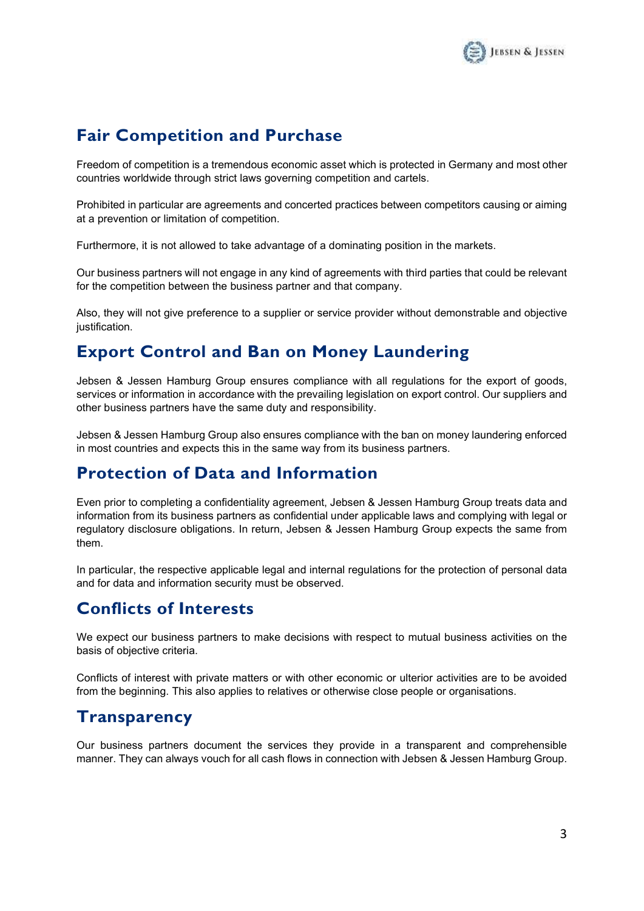

# Fair Competition and Purchase

Freedom of competition is a tremendous economic asset which is protected in Germany and most other countries worldwide through strict laws governing competition and cartels.

Prohibited in particular are agreements and concerted practices between competitors causing or aiming at a prevention or limitation of competition.

Furthermore, it is not allowed to take advantage of a dominating position in the markets.

Our business partners will not engage in any kind of agreements with third parties that could be relevant for the competition between the business partner and that company.

Also, they will not give preference to a supplier or service provider without demonstrable and objective justification.

# Export Control and Ban on Money Laundering

Jebsen & Jessen Hamburg Group ensures compliance with all regulations for the export of goods, services or information in accordance with the prevailing legislation on export control. Our suppliers and other business partners have the same duty and responsibility.

Jebsen & Jessen Hamburg Group also ensures compliance with the ban on money laundering enforced in most countries and expects this in the same way from its business partners.

#### Protection of Data and Information

Even prior to completing a confidentiality agreement, Jebsen & Jessen Hamburg Group treats data and information from its business partners as confidential under applicable laws and complying with legal or regulatory disclosure obligations. In return, Jebsen & Jessen Hamburg Group expects the same from them.

In particular, the respective applicable legal and internal regulations for the protection of personal data and for data and information security must be observed.

# Conflicts of Interests

We expect our business partners to make decisions with respect to mutual business activities on the basis of objective criteria.

Conflicts of interest with private matters or with other economic or ulterior activities are to be avoided from the beginning. This also applies to relatives or otherwise close people or organisations.

# **Transparency**

Our business partners document the services they provide in a transparent and comprehensible manner. They can always vouch for all cash flows in connection with Jebsen & Jessen Hamburg Group.